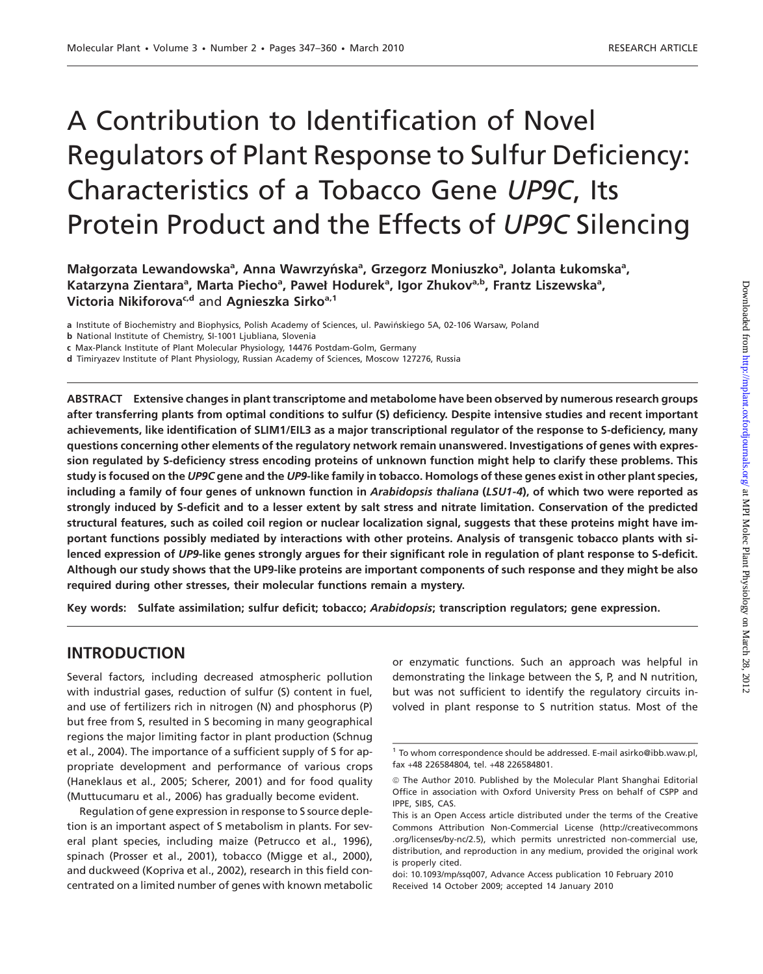# A Contribution to Identification of Novel Regulators of Plant Response to Sulfur Deficiency: Characteristics of a Tobacco Gene UP9C, Its Protein Product and the Effects of UP9C Silencing

Małgorzata Lewandowska<sup>a</sup>, Anna Wawrzyńska<sup>a</sup>, Grzegorz Moniuszko<sup>a</sup>, Jolanta Łukomska<sup>a</sup>, Katarzyna Zientara<sup>a</sup>, Marta Piecho<sup>a</sup>, Paweł Hodurek<sup>a</sup>, Igor Zhukov<sup>a,b</sup>, Frantz Liszewska<sup>a</sup>, Victoria Nikiforova<sup>c,d</sup> and Agnieszka Sirko<sup>a,1</sup>

a Institute of Biochemistry and Biophysics, Polish Academy of Sciences, ul. Pawińskiego 5A, 02-106 Warsaw, Poland

c Max-Planck Institute of Plant Molecular Physiology, 14476 Postdam-Golm, Germany

d Timiryazev Institute of Plant Physiology, Russian Academy of Sciences, Moscow 127276, Russia

ABSTRACT Extensive changes in plant transcriptome and metabolome have been observed by numerous research groups after transferring plants from optimal conditions to sulfur (S) deficiency. Despite intensive studies and recent important achievements, like identification of SLIM1/EIL3 as a major transcriptional regulator of the response to S-deficiency, many questions concerning other elements of the regulatory network remain unanswered. Investigations of genes with expression regulated by S-deficiency stress encoding proteins of unknown function might help to clarify these problems. This study is focused on the UP9C gene and the UP9-like family in tobacco. Homologs of these genes exist in other plant species, including a family of four genes of unknown function in Arabidopsis thaliana (LSU1-4), of which two were reported as strongly induced by S-deficit and to a lesser extent by salt stress and nitrate limitation. Conservation of the predicted structural features, such as coiled coil region or nuclear localization signal, suggests that these proteins might have important functions possibly mediated by interactions with other proteins. Analysis of transgenic tobacco plants with silenced expression of UP9-like genes strongly argues for their significant role in regulation of plant response to S-deficit. Although our study shows that the UP9-like proteins are important components of such response and they might be also required during other stresses, their molecular functions remain a mystery.

Key words: Sulfate assimilation; sulfur deficit; tobacco; Arabidopsis; transcription regulators; gene expression.

# INTRODUCTION

Several factors, including decreased atmospheric pollution with industrial gases, reduction of sulfur (S) content in fuel, and use of fertilizers rich in nitrogen (N) and phosphorus (P) but free from S, resulted in S becoming in many geographical regions the major limiting factor in plant production (Schnug et al., 2004). The importance of a sufficient supply of S for appropriate development and performance of various crops (Haneklaus et al., 2005; Scherer, 2001) and for food quality (Muttucumaru et al., 2006) has gradually become evident.

Regulation of gene expression in response to S source depletion is an important aspect of S metabolism in plants. For several plant species, including maize (Petrucco et al., 1996), spinach (Prosser et al., 2001), tobacco (Migge et al., 2000), and duckweed (Kopriva et al., 2002), research in this field concentrated on a limited number of genes with known metabolic or enzymatic functions. Such an approach was helpful in demonstrating the linkage between the S, P, and N nutrition, but was not sufficient to identify the regulatory circuits involved in plant response to S nutrition status. Most of the

b National Institute of Chemistry, SI-1001 Ljubliana, Slovenia

<sup>1</sup> To whom correspondence should be addressed. E-mail asirko@ibb.waw.pl, fax +48 226584804, tel. +48 226584801.

ª The Author 2010. Published by the Molecular Plant Shanghai Editorial Office in association with Oxford University Press on behalf of CSPP and IPPE, SIBS, CAS.

This is an Open Access article distributed under the terms of the Creative Commons Attribution Non-Commercial License (http://creativecommons .org/licenses/by-nc/2.5), which permits unrestricted non-commercial use, distribution, and reproduction in any medium, provided the original work is properly cited.

doi: 10.1093/mp/ssq007, Advance Access publication 10 February 2010 Received 14 October 2009; accepted 14 January 2010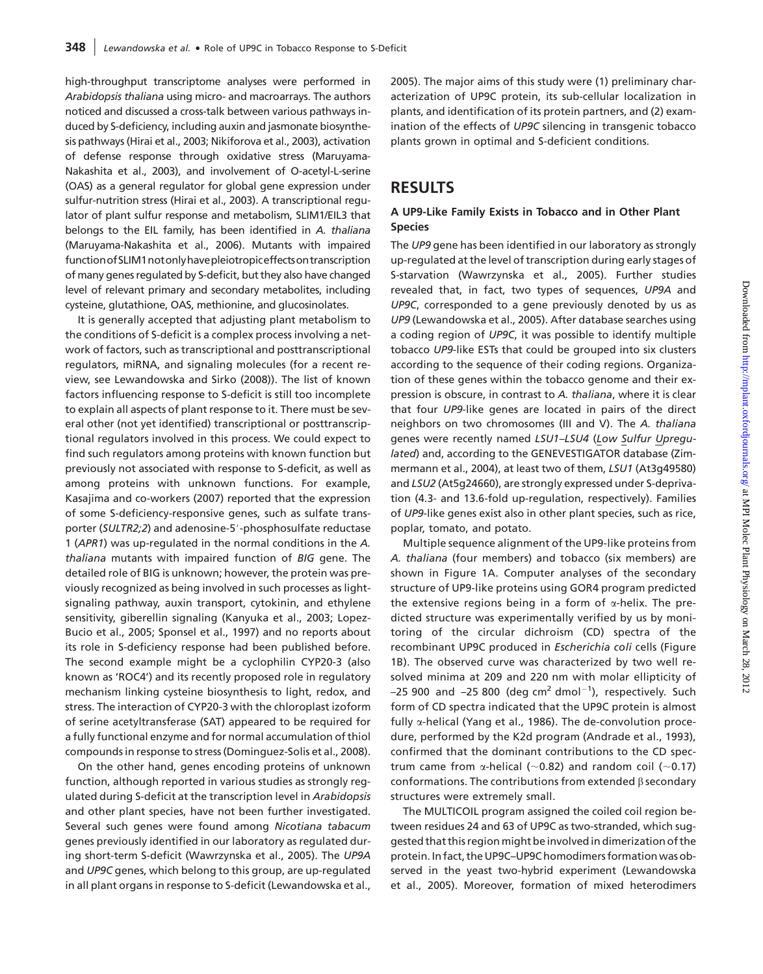high-throughput transcriptome analyses were performed in Arabidopsis thaliana using micro- and macroarrays. The authors noticed and discussed a cross-talk between various pathways induced by S-deficiency, including auxin and jasmonate biosynthesis pathways (Hirai et al., 2003; Nikiforova et al., 2003), activation of defense response through oxidative stress (Maruyama-Nakashita et al., 2003), and involvement of O-acetyl-L-serine (OAS) as a general regulator for global gene expression under sulfur-nutrition stress (Hirai et al., 2003). A transcriptional regulator of plant sulfur response and metabolism, SLIM1/EIL3 that belongs to the EIL family, has been identified in A. thaliana (Maruyama-Nakashita et al., 2006). Mutants with impaired functionofSLIM1notonlyhavepleiotropiceffectsontranscription of many genes regulated by S-deficit, but they also have changed level of relevant primary and secondary metabolites, including cysteine, glutathione, OAS, methionine, and glucosinolates.

It is generally accepted that adjusting plant metabolism to the conditions of S-deficit is a complex process involving a network of factors, such as transcriptional and posttranscriptional regulators, miRNA, and signaling molecules (for a recent review, see Lewandowska and Sirko (2008)). The list of known factors influencing response to S-deficit is still too incomplete to explain all aspects of plant response to it. There must be several other (not yet identified) transcriptional or posttranscriptional regulators involved in this process. We could expect to find such regulators among proteins with known function but previously not associated with response to S-deficit, as well as among proteins with unknown functions. For example, Kasajima and co-workers (2007) reported that the expression of some S-deficiency-responsive genes, such as sulfate transporter (SULTR2;2) and adenosine-5'-phosphosulfate reductase 1 (APR1) was up-regulated in the normal conditions in the A. thaliana mutants with impaired function of BIG gene. The detailed role of BIG is unknown; however, the protein was previously recognized as being involved in such processes as lightsignaling pathway, auxin transport, cytokinin, and ethylene sensitivity, giberellin signaling (Kanyuka et al., 2003; Lopez-Bucio et al., 2005; Sponsel et al., 1997) and no reports about its role in S-deficiency response had been published before. The second example might be a cyclophilin CYP20-3 (also known as 'ROC4') and its recently proposed role in regulatory mechanism linking cysteine biosynthesis to light, redox, and stress. The interaction of CYP20-3 with the chloroplast izoform of serine acetyltransferase (SAT) appeared to be required for a fully functional enzyme and for normal accumulation of thiol compounds in response to stress (Dominguez-Solis et al., 2008).

On the other hand, genes encoding proteins of unknown function, although reported in various studies as strongly regulated during S-deficit at the transcription level in Arabidopsis and other plant species, have not been further investigated. Several such genes were found among Nicotiana tabacum genes previously identified in our laboratory as regulated during short-term S-deficit (Wawrzynska et al., 2005). The UP9A and UP9C genes, which belong to this group, are up-regulated in all plant organs in response to S-deficit (Lewandowska et al.,

2005). The major aims of this study were (1) preliminary characterization of UP9C protein, its sub-cellular localization in plants, and identification of its protein partners, and (2) examination of the effects of UP9C silencing in transgenic tobacco plants grown in optimal and S-deficient conditions.

# RESULTS

# A UP9-Like Family Exists in Tobacco and in Other Plant Species

The UP9 gene has been identified in our laboratory as strongly up-regulated at the level of transcription during early stages of S-starvation (Wawrzynska et al., 2005). Further studies revealed that, in fact, two types of sequences, UP9A and UP9C, corresponded to a gene previously denoted by us as UP9 (Lewandowska et al., 2005). After database searches using a coding region of UP9C, it was possible to identify multiple tobacco UP9-like ESTs that could be grouped into six clusters according to the sequence of their coding regions. Organization of these genes within the tobacco genome and their expression is obscure, in contrast to A. thaliana, where it is clear that four UP9-like genes are located in pairs of the direct neighbors on two chromosomes (III and V). The A. thaliana genes were recently named LSU1–LSU4 (Low Sulfur Upregulated) and, according to the GENEVESTIGATOR database (Zimmermann et al., 2004), at least two of them, LSU1 (At3g49580) and LSU2 (At5g24660), are strongly expressed under S-deprivation (4.3- and 13.6-fold up-regulation, respectively). Families of UP9-like genes exist also in other plant species, such as rice, poplar, tomato, and potato.

Multiple sequence alignment of the UP9-like proteins from A. thaliana (four members) and tobacco (six members) are shown in Figure 1A. Computer analyses of the secondary structure of UP9-like proteins using GOR4 program predicted the extensive regions being in a form of  $\alpha$ -helix. The predicted structure was experimentally verified by us by monitoring of the circular dichroism (CD) spectra of the recombinant UP9C produced in Escherichia coli cells (Figure 1B). The observed curve was characterized by two well resolved minima at 209 and 220 nm with molar ellipticity of –25 900 and –25 800 (deg cm $^2$  dmol $^{-1}$ ), respectively. Such form of CD spectra indicated that the UP9C protein is almost fully a-helical (Yang et al., 1986). The de-convolution procedure, performed by the K2d program (Andrade et al., 1993), confirmed that the dominant contributions to the CD spectrum came from  $\alpha$ -helical (~0.82) and random coil (~0.17) conformations. The contributions from extended  $\beta$  secondary structures were extremely small.

The MULTICOIL program assigned the coiled coil region between residues 24 and 63 of UP9C as two-stranded, which suggested that this region might be involved in dimerization of the protein. In fact, the UP9C-UP9C homodimers formation was observed in the yeast two-hybrid experiment (Lewandowska et al., 2005). Moreover, formation of mixed heterodimers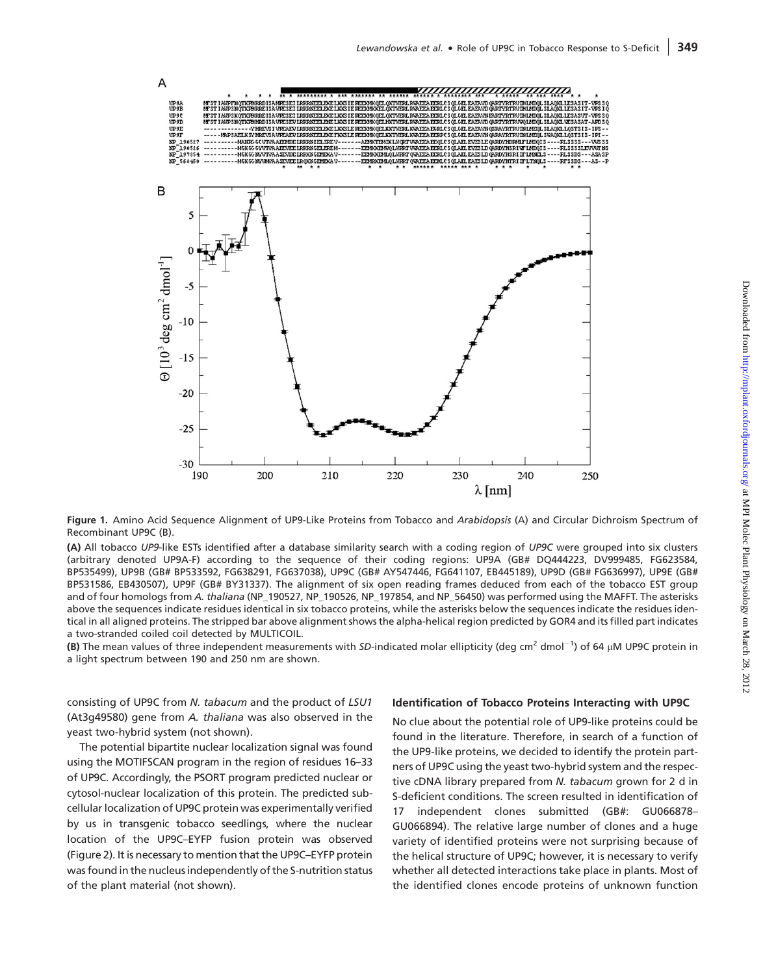

Figure 1. Amino Acid Sequence Alignment of UP9-Like Proteins from Tobacco and Arabidopsis (A) and Circular Dichroism Spectrum of Recombinant UP9C (B).

(A) All tobacco UP9-like ESTs identified after a database similarity search with a coding region of UP9C were grouped into six clusters (arbitrary denoted UP9A-F) according to the sequence of their coding regions: UP9A (GB# DQ444223, DV999485, FG623584, BP535499), UP9B (GB# BP533592, FG638291, FG637038), UP9C (GB# AY547446, FG641107, EB445189), UP9D (GB# FG636997), UP9E (GB# BP531586, EB430507), UP9F (GB# BY31337). The alignment of six open reading frames deduced from each of the tobacco EST group and of four homologs from A. thaliana (NP\_190527, NP\_190526, NP\_197854, and NP\_56450) was performed using the MAFFT. The asterisks above the sequences indicate residues identical in six tobacco proteins, while the asterisks below the sequences indicate the residues identical in all aligned proteins. The stripped bar above alignment shows the alpha-helical region predicted by GOR4 and its filled part indicates a two-stranded coiled coil detected by MULTICOIL.

(B) The mean values of three independent measurements with SD-indicated molar ellipticity (deg cm<sup>2</sup> dmol<sup>-1</sup>) of 64 µM UP9C protein in a light spectrum between 190 and 250 nm are shown.

consisting of UP9C from N. tabacum and the product of LSU1 (At3g49580) gene from A. thaliana was also observed in the yeast two-hybrid system (not shown).

The potential bipartite nuclear localization signal was found using the MOTIFSCAN program in the region of residues 16–33 of UP9C. Accordingly, the PSORT program predicted nuclear or cytosol-nuclear localization of this protein. The predicted subcellular localization of UP9C protein was experimentally verified by us in transgenic tobacco seedlings, where the nuclear location of the UP9C–EYFP fusion protein was observed (Figure 2). It is necessary to mention that the UP9C–EYFP protein was found in the nucleus independently of the S-nutrition status of the plant material (not shown).

#### Identification of Tobacco Proteins Interacting with UP9C

No clue about the potential role of UP9-like proteins could be found in the literature. Therefore, in search of a function of the UP9-like proteins, we decided to identify the protein partners of UP9C using the yeast two-hybrid system and the respective cDNA library prepared from N. tabacum grown for 2 d in S-deficient conditions. The screen resulted in identification of 17 independent clones submitted (GB#: GU066878– GU066894). The relative large number of clones and a huge variety of identified proteins were not surprising because of the helical structure of UP9C; however, it is necessary to verify whether all detected interactions take place in plants. Most of the identified clones encode proteins of unknown function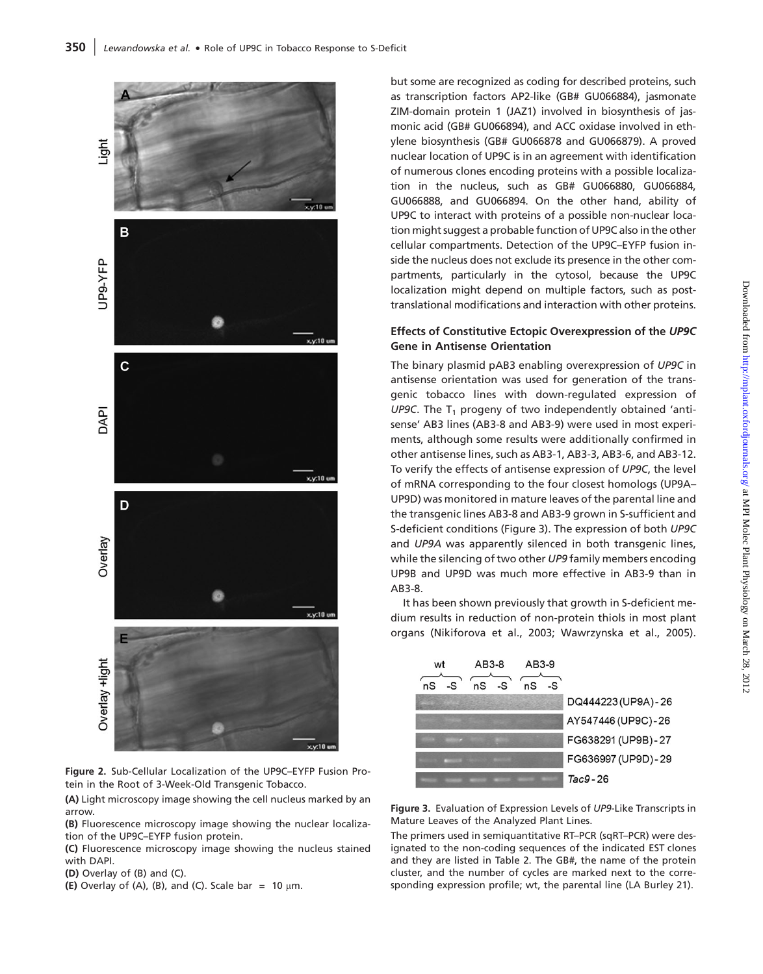

Figure 2. Sub-Cellular Localization of the UP9C–EYFP Fusion Protein in the Root of 3-Week-Old Transgenic Tobacco.

(A) Light microscopy image showing the cell nucleus marked by an arrow.

(B) Fluorescence microscopy image showing the nuclear localization of the UP9C–EYFP fusion protein.

(C) Fluorescence microscopy image showing the nucleus stained with DAPI.

(D) Overlay of (B) and (C).

(E) Overlay of (A), (B), and (C). Scale bar =  $10 \mu m$ .

but some are recognized as coding for described proteins, such as transcription factors AP2-like (GB# GU066884), jasmonate ZIM-domain protein 1 (JAZ1) involved in biosynthesis of jasmonic acid (GB# GU066894), and ACC oxidase involved in ethylene biosynthesis (GB# GU066878 and GU066879). A proved nuclear location of UP9C is in an agreement with identification of numerous clones encoding proteins with a possible localization in the nucleus, such as GB# GU066880, GU066884, GU066888, and GU066894. On the other hand, ability of UP9C to interact with proteins of a possible non-nuclear location might suggest a probable function of UP9C also in the other cellular compartments. Detection of the UP9C–EYFP fusion inside the nucleus does not exclude its presence in the other compartments, particularly in the cytosol, because the UP9C localization might depend on multiple factors, such as posttranslational modifications and interaction with other proteins.

# Effects of Constitutive Ectopic Overexpression of the UP9C Gene in Antisense Orientation

The binary plasmid pAB3 enabling overexpression of UP9C in antisense orientation was used for generation of the transgenic tobacco lines with down-regulated expression of UP9C. The  $T_1$  progeny of two independently obtained 'antisense' AB3 lines (AB3-8 and AB3-9) were used in most experiments, although some results were additionally confirmed in other antisense lines, such as AB3-1, AB3-3, AB3-6, and AB3-12. To verify the effects of antisense expression of UP9C, the level of mRNA corresponding to the four closest homologs (UP9A– UP9D) was monitored in mature leaves of the parental line and the transgenic lines AB3-8 and AB3-9 grown in S-sufficient and S-deficient conditions (Figure 3). The expression of both UP9C and UP9A was apparently silenced in both transgenic lines, while the silencing of two other UP9 family members encoding UP9B and UP9D was much more effective in AB3-9 than in AB3-8.

It has been shown previously that growth in S-deficient medium results in reduction of non-protein thiols in most plant organs (Nikiforova et al., 2003; Wawrzynska et al., 2005).



Figure 3. Evaluation of Expression Levels of UP9-Like Transcripts in Mature Leaves of the Analyzed Plant Lines.

The primers used in semiquantitative RT–PCR (sqRT–PCR) were designated to the non-coding sequences of the indicated EST clones and they are listed in Table 2. The GB#, the name of the protein cluster, and the number of cycles are marked next to the corresponding expression profile; wt, the parental line (LA Burley 21).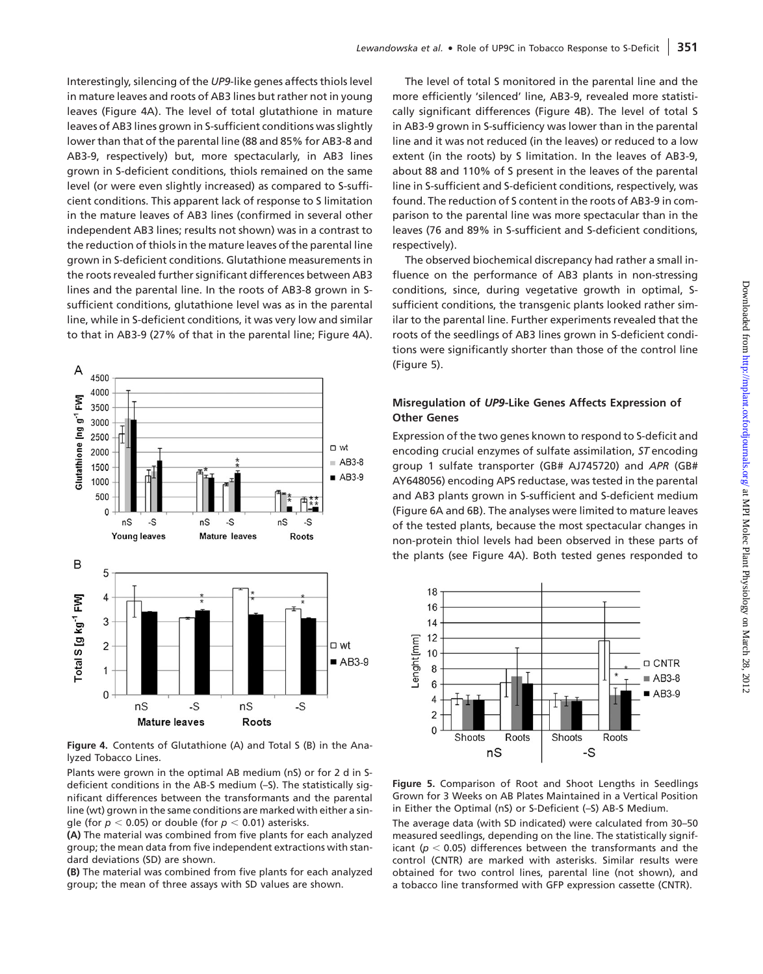Interestingly, silencing of the UP9-like genes affects thiols level in mature leaves and roots of AB3 lines but rather not in young leaves (Figure 4A). The level of total glutathione in mature leaves of AB3 lines grown in S-sufficient conditions was slightly lower than that of the parental line (88 and 85% for AB3-8 and AB3-9, respectively) but, more spectacularly, in AB3 lines grown in S-deficient conditions, thiols remained on the same level (or were even slightly increased) as compared to S-sufficient conditions. This apparent lack of response to S limitation in the mature leaves of AB3 lines (confirmed in several other independent AB3 lines; results not shown) was in a contrast to the reduction of thiols in the mature leaves of the parental line grown in S-deficient conditions. Glutathione measurements in the roots revealed further significant differences between AB3 lines and the parental line. In the roots of AB3-8 grown in Ssufficient conditions, glutathione level was as in the parental line, while in S-deficient conditions, it was very low and similar to that in AB3-9 (27% of that in the parental line; Figure 4A).



Figure 4. Contents of Glutathione (A) and Total S (B) in the Analyzed Tobacco Lines.

Plants were grown in the optimal AB medium (nS) or for 2 d in Sdeficient conditions in the AB-S medium (–S). The statistically significant differences between the transformants and the parental line (wt) grown in the same conditions are marked with either a single (for  $p < 0.05$ ) or double (for  $p < 0.01$ ) asterisks.

(A) The material was combined from five plants for each analyzed group; the mean data from five independent extractions with standard deviations (SD) are shown.

(B) The material was combined from five plants for each analyzed group; the mean of three assays with SD values are shown.

The level of total S monitored in the parental line and the more efficiently 'silenced' line, AB3-9, revealed more statistically significant differences (Figure 4B). The level of total S in AB3-9 grown in S-sufficiency was lower than in the parental line and it was not reduced (in the leaves) or reduced to a low extent (in the roots) by S limitation. In the leaves of AB3-9, about 88 and 110% of S present in the leaves of the parental line in S-sufficient and S-deficient conditions, respectively, was found. The reduction of S content in the roots of AB3-9 in comparison to the parental line was more spectacular than in the leaves (76 and 89% in S-sufficient and S-deficient conditions, respectively).

The observed biochemical discrepancy had rather a small influence on the performance of AB3 plants in non-stressing conditions, since, during vegetative growth in optimal, Ssufficient conditions, the transgenic plants looked rather similar to the parental line. Further experiments revealed that the roots of the seedlings of AB3 lines grown in S-deficient conditions were significantly shorter than those of the control line (Figure 5).

# Misregulation of UP9-Like Genes Affects Expression of Other Genes

Expression of the two genes known to respond to S-deficit and encoding crucial enzymes of sulfate assimilation, ST encoding group 1 sulfate transporter (GB# AJ745720) and APR (GB# AY648056) encoding APS reductase, was tested in the parental and AB3 plants grown in S-sufficient and S-deficient medium (Figure 6A and 6B). The analyses were limited to mature leaves of the tested plants, because the most spectacular changes in non-protein thiol levels had been observed in these parts of the plants (see Figure 4A). Both tested genes responded to



Figure 5. Comparison of Root and Shoot Lengths in Seedlings Grown for 3 Weeks on AB Plates Maintained in a Vertical Position in Either the Optimal (nS) or S-Deficient (–S) AB-S Medium.

The average data (with SD indicated) were calculated from 30–50 measured seedlings, depending on the line. The statistically significant ( $p < 0.05$ ) differences between the transformants and the control (CNTR) are marked with asterisks. Similar results were obtained for two control lines, parental line (not shown), and a tobacco line transformed with GFP expression cassette (CNTR).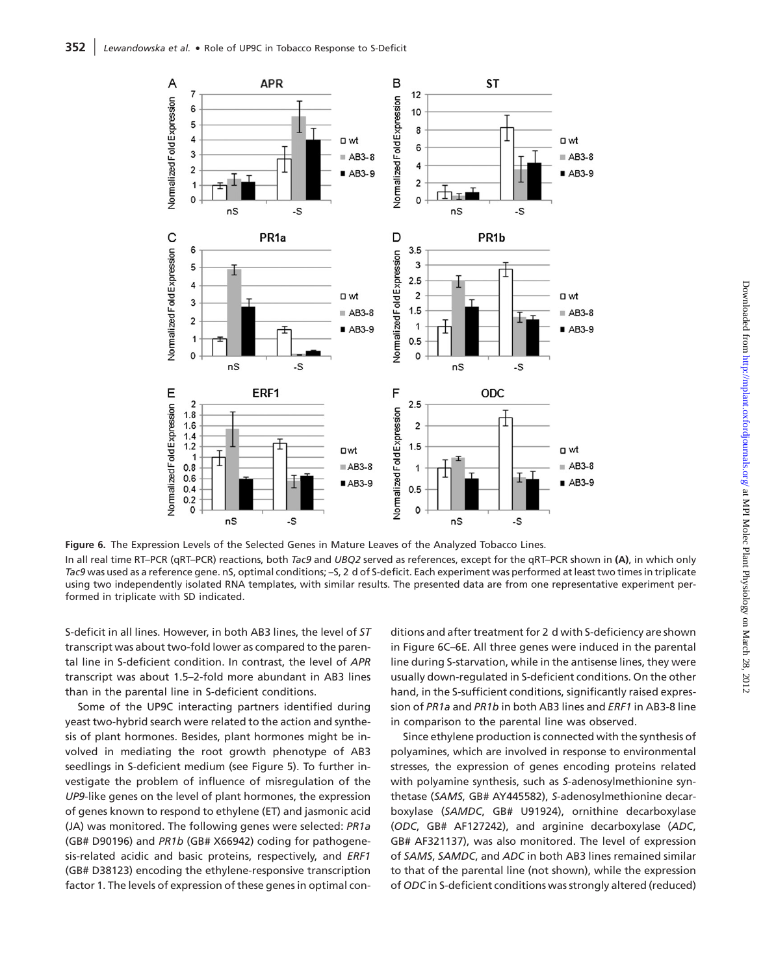

Figure 6. The Expression Levels of the Selected Genes in Mature Leaves of the Analyzed Tobacco Lines. In all real time RT–PCR (qRT–PCR) reactions, both Tac9 and UBQ2 served as references, except for the qRT–PCR shown in (A), in which only Tac9 was used as a reference gene. nS, optimal conditions; –S, 2 d of S-deficit. Each experiment was performed at least two times in triplicate using two independently isolated RNA templates, with similar results. The presented data are from one representative experiment performed in triplicate with SD indicated.

S-deficit in all lines. However, in both AB3 lines, the level of ST transcript was about two-fold lower as compared to the parental line in S-deficient condition. In contrast, the level of APR transcript was about 1.5–2-fold more abundant in AB3 lines than in the parental line in S-deficient conditions.

Some of the UP9C interacting partners identified during yeast two-hybrid search were related to the action and synthesis of plant hormones. Besides, plant hormones might be involved in mediating the root growth phenotype of AB3 seedlings in S-deficient medium (see Figure 5). To further investigate the problem of influence of misregulation of the UP9-like genes on the level of plant hormones, the expression of genes known to respond to ethylene (ET) and jasmonic acid (JA) was monitored. The following genes were selected: PR1a (GB# D90196) and PR1b (GB# X66942) coding for pathogenesis-related acidic and basic proteins, respectively, and ERF1 (GB# D38123) encoding the ethylene-responsive transcription factor 1. The levels of expression of these genes in optimal conditions and after treatment for 2 d with S-deficiency are shown in Figure 6C–6E. All three genes were induced in the parental line during S-starvation, while in the antisense lines, they were usually down-regulated in S-deficient conditions. On the other hand, in the S-sufficient conditions, significantly raised expression of PR1a and PR1b in both AB3 lines and ERF1 in AB3-8 line in comparison to the parental line was observed.

Since ethylene production is connected with the synthesis of polyamines, which are involved in response to environmental stresses, the expression of genes encoding proteins related with polyamine synthesis, such as S-adenosylmethionine synthetase (SAMS, GB# AY445582), S-adenosylmethionine decarboxylase (SAMDC, GB# U91924), ornithine decarboxylase (ODC, GB# AF127242), and arginine decarboxylase (ADC, GB# AF321137), was also monitored. The level of expression of SAMS, SAMDC, and ADC in both AB3 lines remained similar to that of the parental line (not shown), while the expression of ODC in S-deficient conditions was strongly altered (reduced)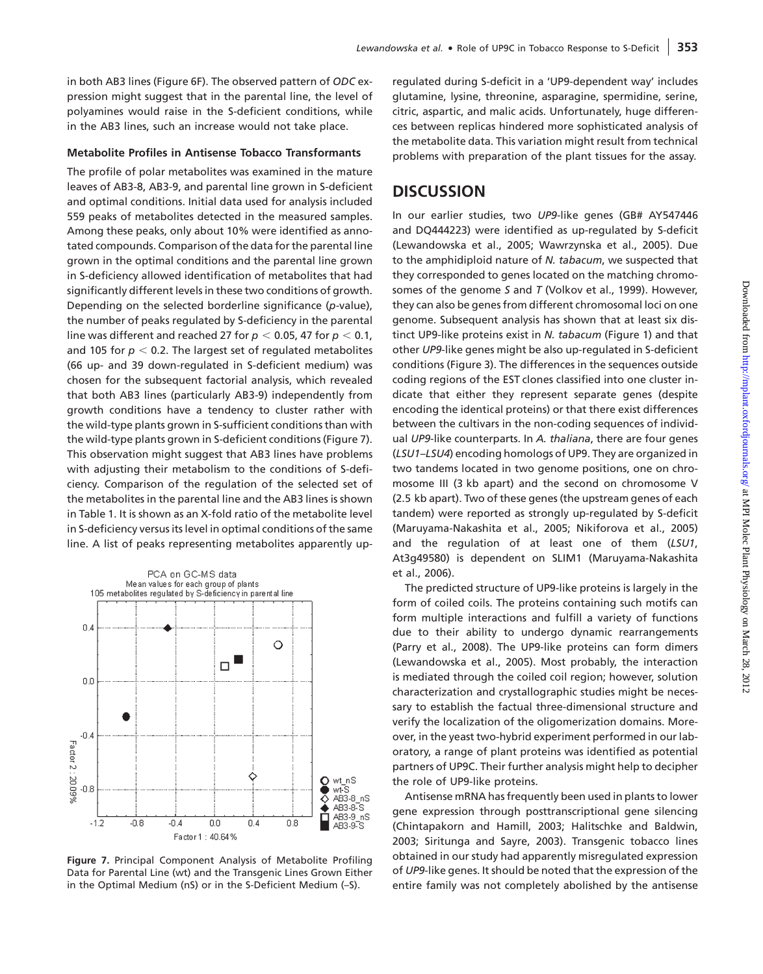in both AB3 lines (Figure 6F). The observed pattern of ODC expression might suggest that in the parental line, the level of polyamines would raise in the S-deficient conditions, while in the AB3 lines, such an increase would not take place.

#### Metabolite Profiles in Antisense Tobacco Transformants

The profile of polar metabolites was examined in the mature leaves of AB3-8, AB3-9, and parental line grown in S-deficient and optimal conditions. Initial data used for analysis included 559 peaks of metabolites detected in the measured samples. Among these peaks, only about 10% were identified as annotated compounds. Comparison of the data for the parental line grown in the optimal conditions and the parental line grown in S-deficiency allowed identification of metabolites that had significantly different levels in these two conditions of growth. Depending on the selected borderline significance (p-value), the number of peaks regulated by S-deficiency in the parental line was different and reached 27 for  $p < 0.05$ , 47 for  $p < 0.1$ , and 105 for  $p < 0.2$ . The largest set of regulated metabolites (66 up- and 39 down-regulated in S-deficient medium) was chosen for the subsequent factorial analysis, which revealed that both AB3 lines (particularly AB3-9) independently from growth conditions have a tendency to cluster rather with the wild-type plants grown in S-sufficient conditions than with the wild-type plants grown in S-deficient conditions (Figure 7). This observation might suggest that AB3 lines have problems with adjusting their metabolism to the conditions of S-deficiency. Comparison of the regulation of the selected set of the metabolites in the parental line and the AB3 lines is shown in Table 1. It is shown as an X-fold ratio of the metabolite level in S-deficiency versus its level in optimal conditions of the same line. A list of peaks representing metabolites apparently up-



Figure 7. Principal Component Analysis of Metabolite Profiling Data for Parental Line (wt) and the Transgenic Lines Grown Either in the Optimal Medium (nS) or in the S-Deficient Medium (–S).

regulated during S-deficit in a 'UP9-dependent way' includes glutamine, lysine, threonine, asparagine, spermidine, serine, citric, aspartic, and malic acids. Unfortunately, huge differences between replicas hindered more sophisticated analysis of the metabolite data. This variation might result from technical problems with preparation of the plant tissues for the assay.

# **DISCUSSION**

In our earlier studies, two UP9-like genes (GB# AY547446 and DQ444223) were identified as up-regulated by S-deficit (Lewandowska et al., 2005; Wawrzynska et al., 2005). Due to the amphidiploid nature of N. tabacum, we suspected that they corresponded to genes located on the matching chromosomes of the genome S and  $T$  (Volkov et al., 1999). However, they can also be genes from different chromosomal loci on one genome. Subsequent analysis has shown that at least six distinct UP9-like proteins exist in N. tabacum (Figure 1) and that other UP9-like genes might be also up-regulated in S-deficient conditions (Figure 3). The differences in the sequences outside coding regions of the EST clones classified into one cluster indicate that either they represent separate genes (despite encoding the identical proteins) or that there exist differences between the cultivars in the non-coding sequences of individual UP9-like counterparts. In A. thaliana, there are four genes (LSU1–LSU4) encoding homologs of UP9. They are organized in two tandems located in two genome positions, one on chromosome III (3 kb apart) and the second on chromosome V (2.5 kb apart). Two of these genes (the upstream genes of each tandem) were reported as strongly up-regulated by S-deficit (Maruyama-Nakashita et al., 2005; Nikiforova et al., 2005) and the regulation of at least one of them (LSU1, At3g49580) is dependent on SLIM1 (Maruyama-Nakashita et al., 2006).

The predicted structure of UP9-like proteins is largely in the form of coiled coils. The proteins containing such motifs can form multiple interactions and fulfill a variety of functions due to their ability to undergo dynamic rearrangements (Parry et al., 2008). The UP9-like proteins can form dimers (Lewandowska et al., 2005). Most probably, the interaction is mediated through the coiled coil region; however, solution characterization and crystallographic studies might be necessary to establish the factual three-dimensional structure and verify the localization of the oligomerization domains. Moreover, in the yeast two-hybrid experiment performed in our laboratory, a range of plant proteins was identified as potential partners of UP9C. Their further analysis might help to decipher the role of UP9-like proteins.

Antisense mRNA has frequently been used in plants to lower gene expression through posttranscriptional gene silencing (Chintapakorn and Hamill, 2003; Halitschke and Baldwin, 2003; Siritunga and Sayre, 2003). Transgenic tobacco lines obtained in our study had apparently misregulated expression of UP9-like genes. It should be noted that the expression of the entire family was not completely abolished by the antisense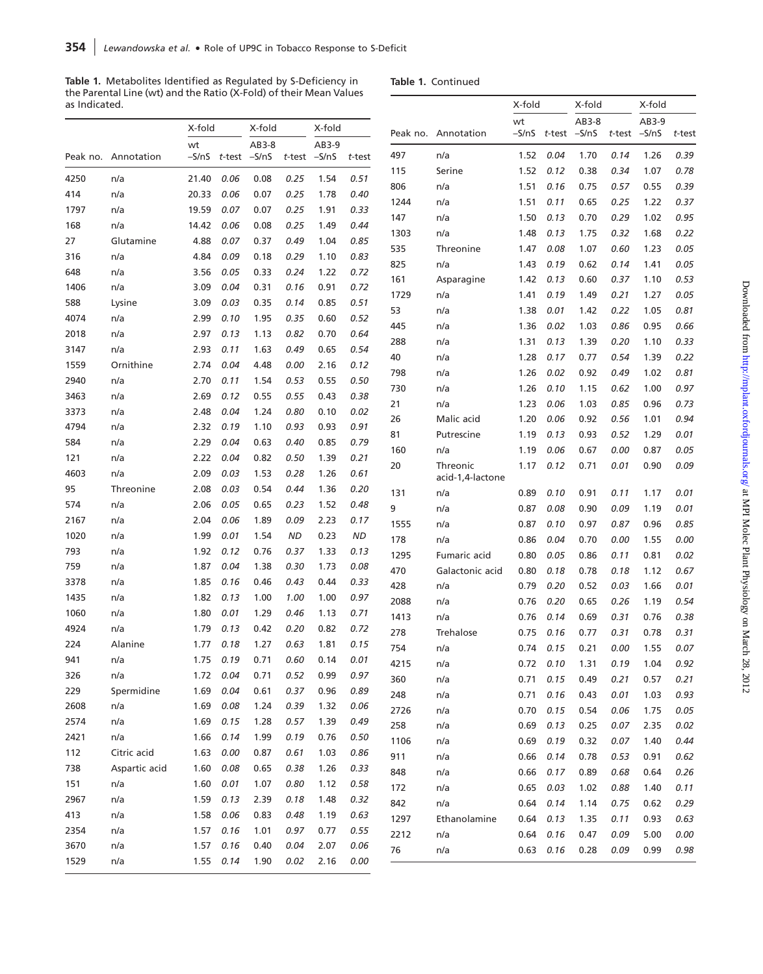Table 1. Metabolites Identified as Regulated by S-Deficiency in the Parental Line (wt) and the Ratio (X-Fold) of their Mean Values as Indicated.

## Table 1. Continued

| as Indicated. |                     |        |                        |        |           |                            |        |      |                            | X-fold                       |             | X-fold |      | X-fold                     |
|---------------|---------------------|--------|------------------------|--------|-----------|----------------------------|--------|------|----------------------------|------------------------------|-------------|--------|------|----------------------------|
|               | Peak no. Annotation | X-fold |                        | X-fold |           | X-fold                     |        |      |                            | wt<br>$-S/nS$ t-test $-S/nS$ |             | AB3-8  |      | AB3-9<br>$t$ -test $-S/nS$ |
|               |                     | wt     | $-S/nS$ t-test $-S/nS$ | AB3-8  |           | AB3-9<br>$t$ -test $-S/nS$ | t-test | 497  | Peak no. Annotation<br>n/a | 1.52                         | 0.04        | 1.70   | 0.14 | 1.26                       |
|               |                     |        |                        |        |           |                            |        | 115  | Serine                     | 1.52                         | 0.12        | 0.38   | 0.34 | 1.07                       |
| 4250          | n/a                 | 21.40  | 0.06                   | 0.08   | 0.25      | 1.54                       | 0.51   | 806  | n/a                        | 1.51                         | 0.16        | 0.75   | 0.57 | 0.55                       |
| 414           | n/a                 | 20.33  | 0.06                   | 0.07   | 0.25      | 1.78                       | 0.40   | 1244 | n/a                        | 1.51                         | 0.11        | 0.65   | 0.25 | 1.22                       |
| 1797          | n/a                 | 19.59  | 0.07                   | 0.07   | 0.25      | 1.91                       | 0.33   | 147  | n/a                        | 1.50                         | 0.13        | 0.70   | 0.29 | 1.02                       |
| 168           | n/a                 | 14.42  | 0.06                   | 0.08   | 0.25      | 1.49                       | 0.44   | 1303 | n/a                        | 1.48                         | 0.13        | 1.75   | 0.32 | 1.68                       |
| 27            | Glutamine           | 4.88   | 0.07                   | 0.37   | 0.49      | 1.04                       | 0.85   | 535  | Threonine                  | 1.47                         | 0.08        | 1.07   | 0.60 | 1.23                       |
| 316           | n/a                 | 4.84   | 0.09                   | 0.18   | 0.29      | 1.10                       | 0.83   | 825  | n/a                        | 1.43                         | 0.19        | 0.62   | 0.14 | 1.41                       |
| 648           | n/a                 | 3.56   | 0.05                   | 0.33   | 0.24      | 1.22                       | 0.72   | 161  |                            | 1.42                         | 0.13        | 0.60   | 0.37 | 1.10                       |
| 1406          | n/a                 | 3.09   | 0.04                   | 0.31   | 0.16      | 0.91                       | 0.72   |      | Asparagine                 |                              |             |        |      |                            |
| 588           | Lysine              | 3.09   | 0.03                   | 0.35   | 0.14      | 0.85                       | 0.51   | 1729 | n/a                        | 1.41                         | 0.19        | 1.49   | 0.21 | 1.27                       |
| 4074          | n/a                 | 2.99   | 0.10                   | 1.95   | 0.35      | 0.60                       | 0.52   | 53   | n/a                        | 1.38                         | 0.01        | 1.42   | 0.22 | 1.05                       |
| 2018          | n/a                 | 2.97   | 0.13                   | 1.13   | 0.82      | 0.70                       | 0.64   | 445  | n/a                        | 1.36                         | 0.02        | 1.03   | 0.86 | 0.95                       |
| 3147          | n/a                 | 2.93   | 0.11                   | 1.63   | 0.49      | 0.65                       | 0.54   | 288  | n/a                        | 1.31                         | 0.13        | 1.39   | 0.20 | 1.10                       |
| 1559          | Ornithine           | 2.74   | 0.04                   | 4.48   | 0.00      | 2.16                       | 0.12   | 40   | n/a                        | 1.28                         | 0.17        | 0.77   | 0.54 | 1.39                       |
| 2940          | n/a                 | 2.70   | 0.11                   | 1.54   | 0.53      | 0.55                       | 0.50   | 798  | n/a                        | 1.26                         | 0.02        | 0.92   | 0.49 | 1.02                       |
| 3463          | n/a                 | 2.69   | 0.12                   | 0.55   | 0.55      | 0.43                       | 0.38   | 730  | n/a                        | 1.26                         | 0.10        | 1.15   | 0.62 | 1.00                       |
| 3373          | n/a                 | 2.48   | 0.04                   | 1.24   | 0.80      | 0.10                       | 0.02   | 21   | n/a                        | 1.23                         | 0.06        | 1.03   | 0.85 | 0.96                       |
| 4794          | n/a                 | 2.32   | 0.19                   | 1.10   | 0.93      | 0.93                       | 0.91   | 26   | Malic acid                 | 1.20                         | 0.06        | 0.92   | 0.56 | 1.01                       |
| 584           | n/a                 | 2.29   | 0.04                   | 0.63   | 0.40      | 0.85                       | 0.79   | 81   | Putrescine                 | 1.19                         | 0.13        | 0.93   | 0.52 | 1.29                       |
| 121           | n/a                 | 2.22   | 0.04                   | 0.82   | 0.50      | 1.39                       | 0.21   | 160  | n/a                        | 1.19                         | 0.06        | 0.67   | 0.00 | 0.87                       |
| 4603          | n/a                 | 2.09   | 0.03                   | 1.53   | 0.28      | 1.26                       | 0.61   | 20   | Threonic                   | 1.17                         | 0.12        | 0.71   | 0.01 | 0.90                       |
| 95            | Threonine           | 2.08   | 0.03                   | 0.54   | 0.44      | 1.36                       | 0.20   |      | acid-1,4-lactone           |                              |             |        |      |                            |
| 574           | n/a                 | 2.06   | 0.05                   | 0.65   | 0.23      | 1.52                       | 0.48   | 131  | n/a                        | 0.89                         | 0.10        | 0.91   | 0.11 | 1.17                       |
| 2167          | n/a                 | 2.04   | 0.06                   | 1.89   | 0.09      | 2.23                       | 0.17   | 9    | n/a                        | 0.87                         | 0.08        | 0.90   | 0.09 | 1.19                       |
| 1020          | n/a                 | 1.99   | 0.01                   | 1.54   | <b>ND</b> | 0.23                       | ND     | 1555 | n/a                        | 0.87                         | 0.10        | 0.97   | 0.87 | 0.96                       |
| 793           | n/a                 | 1.92   | 0.12                   | 0.76   | 0.37      | 1.33                       | 0.13   | 178  | n/a                        | 0.86                         | 0.04        | 0.70   | 0.00 | 1.55                       |
| 759           | n/a                 | 1.87   | 0.04                   | 1.38   | 0.30      | 1.73                       | 0.08   | 1295 | Fumaric acid               | 0.80                         | 0.05        | 0.86   | 0.11 | 0.81                       |
| 3378          |                     | 1.85   | 0.16                   | 0.46   | 0.43      | 0.44                       | 0.33   | 470  | Galactonic acid            | 0.80                         | 0.18        | 0.78   | 0.18 | 1.12                       |
|               | n/a                 |        |                        |        |           |                            |        | 428  | n/a                        | 0.79                         | 0.20        | 0.52   | 0.03 | 1.66                       |
| 1435          | n/a                 | 1.82   | 0.13                   | 1.00   | 1.00      | 1.00                       | 0.97   | 2088 | n/a                        | 0.76                         | 0.20        | 0.65   | 0.26 | 1.19                       |
| 1060          | n/a                 | 1.80   | 0.01                   | 1.29   | 0.46      | 1.13                       | 0.71   | 1413 | n/a                        | 0.76                         | 0.14        | 0.69   | 0.31 | 0.76                       |
| 4924          | n/a                 | 1.79   | 0.13                   | 0.42   | 0.20      | 0.82                       | 0.72   | 278  | <b>Trehalose</b>           | 0.75                         | 0.16        | 0.77   | 0.31 | 0.78                       |
| 224           | Alanine             | 1.77   | 0.18                   | 1.27   | 0.63      | 1.81                       | 0.15   | 754  | n/a                        | 0.74                         | 0.15        | 0.21   | 0.00 | 1.55                       |
| 941           | n/a                 | 1.75   | 0.19                   | 0.71   | 0.60      | 0.14                       | 0.01   | 4215 | n/a                        |                              | $0.72$ 0.10 | 1.31   | 0.19 | 1.04                       |
| 326           | n/a                 | 1.72   | 0.04                   | 0.71   | 0.52      | 0.99                       | 0.97   | 360  | n/a                        | 0.71                         | 0.15        | 0.49   | 0.21 | 0.57                       |
| 229           | Spermidine          | 1.69   | 0.04                   | 0.61   | 0.37      | 0.96                       | 0.89   | 248  | n/a                        | 0.71                         | 0.16        | 0.43   | 0.01 | 1.03                       |
| 2608          | n/a                 | 1.69   | 0.08                   | 1.24   | 0.39      | 1.32                       | 0.06   | 2726 | n/a                        | 0.70                         | 0.15        | 0.54   | 0.06 | 1.75                       |
| 2574          | n/a                 | 1.69   | 0.15                   | 1.28   | 0.57      | 1.39                       | 0.49   | 258  | n/a                        | 0.69                         | 0.13        | 0.25   | 0.07 | 2.35                       |
| 2421          | n/a                 | 1.66   | 0.14                   | 1.99   | 0.19      | 0.76                       | 0.50   | 1106 | n/a                        | 0.69                         | 0.19        | 0.32   | 0.07 | 1.40                       |
| 112           | Citric acid         | 1.63   | 0.00                   | 0.87   | 0.61      | 1.03                       | 0.86   | 911  | n/a                        | 0.66                         | 0.14        | 0.78   | 0.53 | 0.91                       |
| 738           | Aspartic acid       | 1.60   | 0.08                   | 0.65   | 0.38      | 1.26                       | 0.33   | 848  | n/a                        | 0.66                         | 0.17        | 0.89   | 0.68 | 0.64                       |
| 151           | n/a                 | 1.60   | 0.01                   | 1.07   | 0.80      | 1.12                       | 0.58   | 172  | n/a                        | 0.65                         | 0.03        | 1.02   | 0.88 | 1.40                       |
| 2967          | n/a                 | 1.59   | 0.13                   | 2.39   | 0.18      | 1.48                       | 0.32   | 842  | n/a                        | 0.64                         | 0.14        | 1.14   | 0.75 | 0.62                       |
| 413           | n/a                 | 1.58   | 0.06                   | 0.83   | 0.48      | 1.19                       | 0.63   | 1297 | Ethanolamine               | 0.64                         | 0.13        | 1.35   | 0.11 | 0.93                       |
| 2354          | n/a                 | 1.57   | 0.16                   | 1.01   | 0.97      | 0.77                       | 0.55   | 2212 | n/a                        |                              | $0.64$ 0.16 | 0.47   | 0.09 | 5.00                       |
| 3670          | n/a                 | 1.57   | 0.16                   | 0.40   | 0.04      | 2.07                       | 0.06   | 76   | n/a                        |                              | $0.63$ 0.16 | 0.28   | 0.09 | 0.99                       |
| 1529          | n/a                 |        | 1.55 0.14              | 1.90   | 0.02      | 2.16                       | 0.00   |      |                            |                              |             |        |      |                            |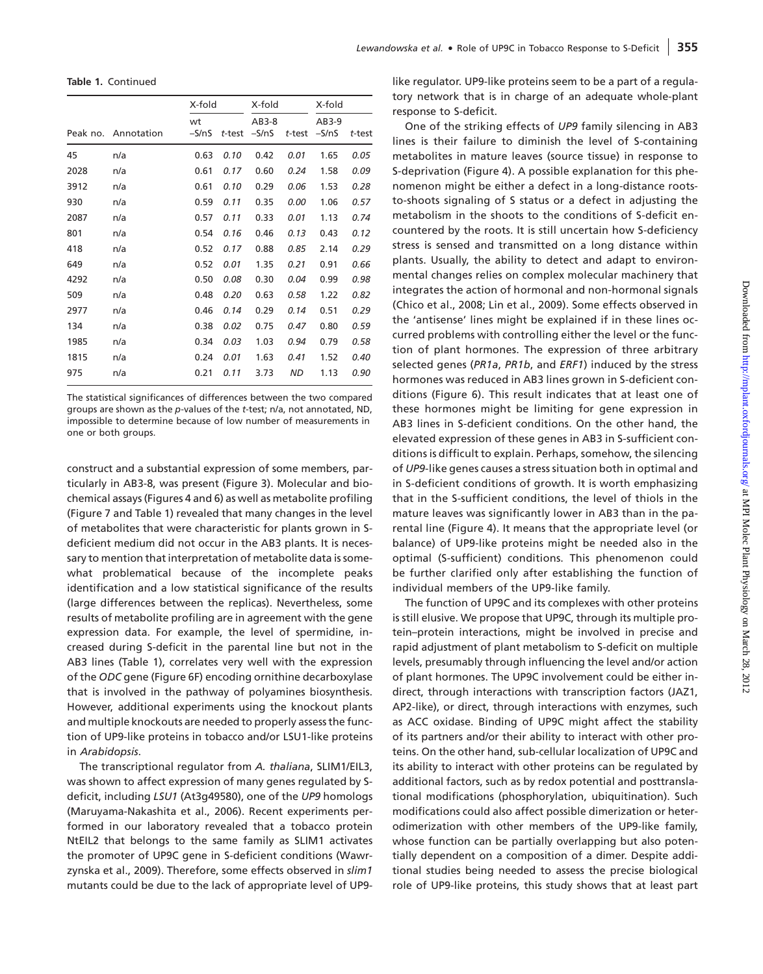Table 1. Continued

|      |                     | X-fold        |        | X-fold             |           | X-fold             |        |  |
|------|---------------------|---------------|--------|--------------------|-----------|--------------------|--------|--|
|      | Peak no. Annotation | wt<br>$-S/nS$ | t-test | $AB3-8$<br>$-S/nS$ | t-test    | $AB3-9$<br>$-S/nS$ | t-test |  |
| 45   | n/a                 | 0.63          | 0.10   | 0.42               | 0.01      | 1.65               | 0.05   |  |
| 2028 | n/a                 | 0.61          | 0.17   | 0.60               | 0.24      | 1.58               | 0.09   |  |
| 3912 | n/a                 | 0.61          | 0.10   | 0.29               | 0.06      | 1.53               | 0.28   |  |
| 930  | n/a                 | 0.59          | 0.11   | 0.35               | 0.00      | 1.06               | 0.57   |  |
| 2087 | n/a                 | 0.57          | 0.11   | 0.33               | 0.01      | 1.13               | 0.74   |  |
| 801  | n/a                 | 0.54          | 0.16   | 0.46               | 0.13      | 0.43               | 0.12   |  |
| 418  | n/a                 | 0.52          | 0.17   | 0.88               | 0.85      | 2.14               | 0.29   |  |
| 649  | n/a                 | 0.52          | 0.01   | 1.35               | 0.21      | 0.91               | 0.66   |  |
| 4292 | n/a                 | 0.50          | 0.08   | 0.30               | 0.04      | 0.99               | 0.98   |  |
| 509  | n/a                 | 0.48          | 0.20   | 0.63               | 0.58      | 1.22               | 0.82   |  |
| 2977 | n/a                 | 0.46          | 0.14   | 0.29               | 0.14      | 0.51               | 0.29   |  |
| 134  | n/a                 | 0.38          | 0.02   | 0.75               | 0.47      | 0.80               | 0.59   |  |
| 1985 | n/a                 | 0.34          | 0.03   | 1.03               | 0.94      | 0.79               | 0.58   |  |
| 1815 | n/a                 | 0.24          | 0.01   | 1.63               | 0.41      | 1.52               | 0.40   |  |
| 975  | n/a                 | 0.21          | 0.11   | 3.73               | <b>ND</b> | 1.13               | 0.90   |  |

The statistical significances of differences between the two compared groups are shown as the p-values of the t-test; n/a, not annotated, ND, impossible to determine because of low number of measurements in one or both groups.

construct and a substantial expression of some members, particularly in AB3-8, was present (Figure 3). Molecular and biochemical assays (Figures 4 and 6) as well as metabolite profiling (Figure 7 and Table 1) revealed that many changes in the level of metabolites that were characteristic for plants grown in Sdeficient medium did not occur in the AB3 plants. It is necessary to mention that interpretation of metabolite data is somewhat problematical because of the incomplete peaks identification and a low statistical significance of the results (large differences between the replicas). Nevertheless, some results of metabolite profiling are in agreement with the gene expression data. For example, the level of spermidine, increased during S-deficit in the parental line but not in the AB3 lines (Table 1), correlates very well with the expression of the ODC gene (Figure 6F) encoding ornithine decarboxylase that is involved in the pathway of polyamines biosynthesis. However, additional experiments using the knockout plants and multiple knockouts are needed to properly assess the function of UP9-like proteins in tobacco and/or LSU1-like proteins in Arabidopsis.

The transcriptional regulator from A. thaliana, SLIM1/EIL3, was shown to affect expression of many genes regulated by Sdeficit, including LSU1 (At3g49580), one of the UP9 homologs (Maruyama-Nakashita et al., 2006). Recent experiments performed in our laboratory revealed that a tobacco protein NtEIL2 that belongs to the same family as SLIM1 activates the promoter of UP9C gene in S-deficient conditions (Wawrzynska et al., 2009). Therefore, some effects observed in slim1 mutants could be due to the lack of appropriate level of UP9like regulator. UP9-like proteins seem to be a part of a regulatory network that is in charge of an adequate whole-plant response to S-deficit.

One of the striking effects of UP9 family silencing in AB3 lines is their failure to diminish the level of S-containing metabolites in mature leaves (source tissue) in response to S-deprivation (Figure 4). A possible explanation for this phenomenon might be either a defect in a long-distance rootsto-shoots signaling of S status or a defect in adjusting the metabolism in the shoots to the conditions of S-deficit encountered by the roots. It is still uncertain how S-deficiency stress is sensed and transmitted on a long distance within plants. Usually, the ability to detect and adapt to environmental changes relies on complex molecular machinery that integrates the action of hormonal and non-hormonal signals (Chico et al., 2008; Lin et al., 2009). Some effects observed in the 'antisense' lines might be explained if in these lines occurred problems with controlling either the level or the function of plant hormones. The expression of three arbitrary selected genes (PR1a, PR1b, and ERF1) induced by the stress hormones was reduced in AB3 lines grown in S-deficient conditions (Figure 6). This result indicates that at least one of these hormones might be limiting for gene expression in AB3 lines in S-deficient conditions. On the other hand, the elevated expression of these genes in AB3 in S-sufficient conditions is difficult to explain. Perhaps, somehow, the silencing of UP9-like genes causes a stress situation both in optimal and in S-deficient conditions of growth. It is worth emphasizing that in the S-sufficient conditions, the level of thiols in the mature leaves was significantly lower in AB3 than in the parental line (Figure 4). It means that the appropriate level (or balance) of UP9-like proteins might be needed also in the optimal (S-sufficient) conditions. This phenomenon could be further clarified only after establishing the function of individual members of the UP9-like family.

The function of UP9C and its complexes with other proteins is still elusive. We propose that UP9C, through its multiple protein–protein interactions, might be involved in precise and rapid adjustment of plant metabolism to S-deficit on multiple levels, presumably through influencing the level and/or action of plant hormones. The UP9C involvement could be either indirect, through interactions with transcription factors (JAZ1, AP2-like), or direct, through interactions with enzymes, such as ACC oxidase. Binding of UP9C might affect the stability of its partners and/or their ability to interact with other proteins. On the other hand, sub-cellular localization of UP9C and its ability to interact with other proteins can be regulated by additional factors, such as by redox potential and posttranslational modifications (phosphorylation, ubiquitination). Such modifications could also affect possible dimerization or heterodimerization with other members of the UP9-like family, whose function can be partially overlapping but also potentially dependent on a composition of a dimer. Despite additional studies being needed to assess the precise biological role of UP9-like proteins, this study shows that at least part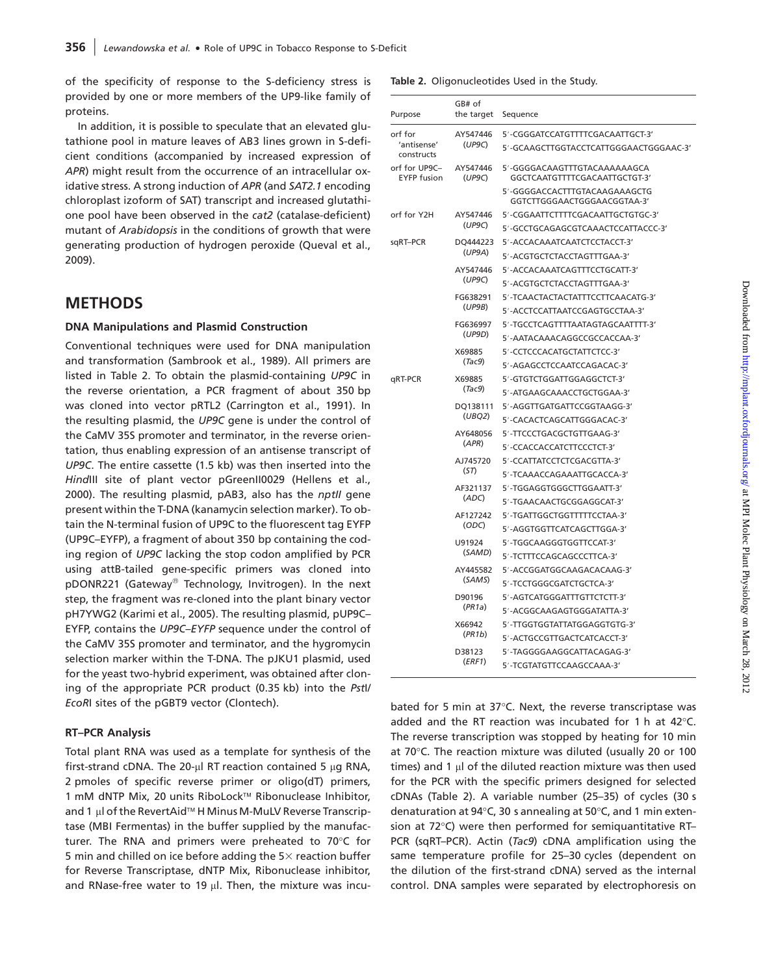of the specificity of response to the S-deficiency stress is provided by one or more members of the UP9-like family of proteins.

In addition, it is possible to speculate that an elevated glutathione pool in mature leaves of AB3 lines grown in S-deficient conditions (accompanied by increased expression of APR) might result from the occurrence of an intracellular oxidative stress. A strong induction of APR (and SAT2.1 encoding chloroplast izoform of SAT) transcript and increased glutathione pool have been observed in the cat2 (catalase-deficient) mutant of Arabidopsis in the conditions of growth that were generating production of hydrogen peroxide (Queval et al., 2009).

# **METHODS**

## DNA Manipulations and Plasmid Construction

Conventional techniques were used for DNA manipulation and transformation (Sambrook et al., 1989). All primers are listed in Table 2. To obtain the plasmid-containing UP9C in the reverse orientation, a PCR fragment of about 350 bp was cloned into vector pRTL2 (Carrington et al., 1991). In the resulting plasmid, the UP9C gene is under the control of the CaMV 35S promoter and terminator, in the reverse orientation, thus enabling expression of an antisense transcript of UP9C. The entire cassette (1.5 kb) was then inserted into the HindIII site of plant vector pGreenII0029 (Hellens et al., 2000). The resulting plasmid, pAB3, also has the nptII gene present within the T-DNA (kanamycin selection marker). To obtain the N-terminal fusion of UP9C to the fluorescent tag EYFP (UP9C–EYFP), a fragment of about 350 bp containing the coding region of UP9C lacking the stop codon amplified by PCR using attB-tailed gene-specific primers was cloned into pDONR221 (Gateway<sup>®</sup> Technology, Invitrogen). In the next step, the fragment was re-cloned into the plant binary vector pH7YWG2 (Karimi et al., 2005). The resulting plasmid, pUP9C– EYFP, contains the UP9C–EYFP sequence under the control of the CaMV 35S promoter and terminator, and the hygromycin selection marker within the T-DNA. The pJKU1 plasmid, used for the yeast two-hybrid experiment, was obtained after cloning of the appropriate PCR product (0.35 kb) into the PstI/ EcoRI sites of the pGBT9 vector (Clontech).

#### RT–PCR Analysis

Total plant RNA was used as a template for synthesis of the first-strand cDNA. The 20- $\mu$ l RT reaction contained 5  $\mu$ g RNA, 2 pmoles of specific reverse primer or oligo(dT) primers, 1 mM dNTP Mix, 20 units RiboLock™ Ribonuclease Inhibitor, and 1 µl of the RevertAid™ H Minus M-MuLV Reverse Transcriptase (MBI Fermentas) in the buffer supplied by the manufacturer. The RNA and primers were preheated to  $70^{\circ}$ C for 5 min and chilled on ice before adding the  $5\times$  reaction buffer for Reverse Transcriptase, dNTP Mix, Ribonuclease inhibitor, and RNase-free water to 19  $\mu$ l. Then, the mixture was incu-

#### Table 2. Oligonucleotides Used in the Study.

| Purpose                             | GB# of<br>the target | Sequence                                                      |  |  |  |  |  |
|-------------------------------------|----------------------|---------------------------------------------------------------|--|--|--|--|--|
| orf for                             | AY547446             | 5'-CGGGATCCATGTTTTCGACAATTGCT-3'                              |  |  |  |  |  |
| 'antisense'<br>constructs           | (UP9C)               | 5'-GCAAGCTTGGTACCTCATTGGGAACTGGGAAC-3'                        |  |  |  |  |  |
| orf for UP9C-<br><b>EYFP</b> fusion | AY547446<br>(UP9C)   | 5'-GGGGACAAGTTTGTACAAAAAAGCA<br>GGCTCAATGTTTTCGACAATTGCTGT-3' |  |  |  |  |  |
|                                     |                      | 5'-GGGGACCACTTTGTACAAGAAAGCTG<br>GGTCTTGGGAACTGGGAACGGTAA-3'  |  |  |  |  |  |
| orf for Y2H                         | AY547446             | 5'-CGGAATTCTTTTCGACAATTGCTGTGC-3'                             |  |  |  |  |  |
|                                     | (UP9C)               | 5'-GCCTGCAGAGCGTCAAACTCCATTACCC-3'                            |  |  |  |  |  |
| sqRT-PCR                            | DQ444223             | 5'-ACCACAAATCAATCTCCTACCT-3'                                  |  |  |  |  |  |
|                                     | (UP9A)               | 5'-ACGTGCTCTACCTAGTTTGAA-3'                                   |  |  |  |  |  |
|                                     | AY547446             | 5'-ACCACAAATCAGTTTCCTGCATT-3'                                 |  |  |  |  |  |
|                                     | (UP9C)               | 5'-ACGTGCTCTACCTAGTTTGAA-3'                                   |  |  |  |  |  |
|                                     | FG638291             | 5'-TCAACTACTACTATTTCCTTCAACATG-3'                             |  |  |  |  |  |
|                                     | (UP9B)               | 5'-ACCTCCATTAATCCGAGTGCCTAA-3'                                |  |  |  |  |  |
|                                     | FG636997             | 5'-TGCCTCAGTTTTAATAGTAGCAATTTT-3'                             |  |  |  |  |  |
|                                     | (UP9D)               | 5'-AATACAAACAGGCCGCCACCAA-3'                                  |  |  |  |  |  |
|                                     | X69885               | 5'-CCTCCCACATGCTATTCTCC-3'                                    |  |  |  |  |  |
|                                     | (Tac9)               | 5'-AGAGCCTCCAATCCAGACAC-3'                                    |  |  |  |  |  |
| qRT-PCR                             | X69885<br>(Tac9)     | 5'-GTGTCTGGATTGGAGGCTCT-3'                                    |  |  |  |  |  |
|                                     |                      | 5'-ATGAAGCAAACCTGCTGGAA-3'                                    |  |  |  |  |  |
|                                     | DQ138111<br>(UBQ2)   | 5'-AGGTTGATGATTCCGGTAAGG-3'                                   |  |  |  |  |  |
|                                     |                      | 5'-CACACTCAGCATTGGGACAC-3'                                    |  |  |  |  |  |
|                                     | AY648056             | 5'-TTCCCTGACGCTGTTGAAG-3'                                     |  |  |  |  |  |
|                                     | (APR)                | 5'-CCACCACCATCTTCCCTCT-3'                                     |  |  |  |  |  |
|                                     | AJ745720             | 5'-CCATTATCCTCTCGACGTTA-3'                                    |  |  |  |  |  |
|                                     | (ST)                 | 5'-TCAAACCAGAAATTGCACCA-3'                                    |  |  |  |  |  |
|                                     | AF321137             | 5'-TGGAGGTGGGCTTGGAATT-3'                                     |  |  |  |  |  |
|                                     | (ADC)                | 5'-TGAACAACTGCGGAGGCAT-3'                                     |  |  |  |  |  |
|                                     | AF127242             | 5'-TGATTGGCTGGTTTTTCCTAA-3'                                   |  |  |  |  |  |
|                                     | (ODC)                | 5'-AGGTGGTTCATCAGCTTGGA-3'                                    |  |  |  |  |  |
|                                     | U91924               | 5'-TGGCAAGGGTGGTTCCAT-3'                                      |  |  |  |  |  |
|                                     | (SAMD)               | 5'-TCTTTCCAGCAGCCCTTCA-3'                                     |  |  |  |  |  |
|                                     | AY445582             | 5'-ACCGGATGGCAAGACACAAG-3'                                    |  |  |  |  |  |
|                                     | (SAMS)               | 5'-TCCTGGGCGATCTGCTCA-3'                                      |  |  |  |  |  |
|                                     | D90196               | 5'-AGTCATGGGATTTGTTCTCTT-3'                                   |  |  |  |  |  |
|                                     | (PR1a)               | 5'-ACGGCAAGAGTGGGATATTA-3'                                    |  |  |  |  |  |
|                                     | X66942               | 5'-TTGGTGGTATTATGGAGGTGTG-3'                                  |  |  |  |  |  |
|                                     | (PR1b)               | 5'-ACTGCCGTTGACTCATCACCT-3'                                   |  |  |  |  |  |
|                                     | D38123               | 5'-TAGGGGAAGGCATTACAGAG-3'                                    |  |  |  |  |  |
|                                     | (ERF1)               | 5'-TCGTATGTTCCAAGCCAAA-3'                                     |  |  |  |  |  |

bated for 5 min at 37 $^{\circ}$ C. Next, the reverse transcriptase was added and the RT reaction was incubated for 1 h at  $42^{\circ}$ C. The reverse transcription was stopped by heating for 10 min at  $70^{\circ}$ C. The reaction mixture was diluted (usually 20 or 100 times) and 1  $\mu$  of the diluted reaction mixture was then used for the PCR with the specific primers designed for selected cDNAs (Table 2). A variable number (25–35) of cycles (30 s denaturation at 94 $\degree$ C, 30 s annealing at 50 $\degree$ C, and 1 min extension at  $72^{\circ}$ C) were then performed for semiquantitative RT– PCR (sqRT–PCR). Actin (Tac9) cDNA amplification using the same temperature profile for 25–30 cycles (dependent on the dilution of the first-strand cDNA) served as the internal control. DNA samples were separated by electrophoresis on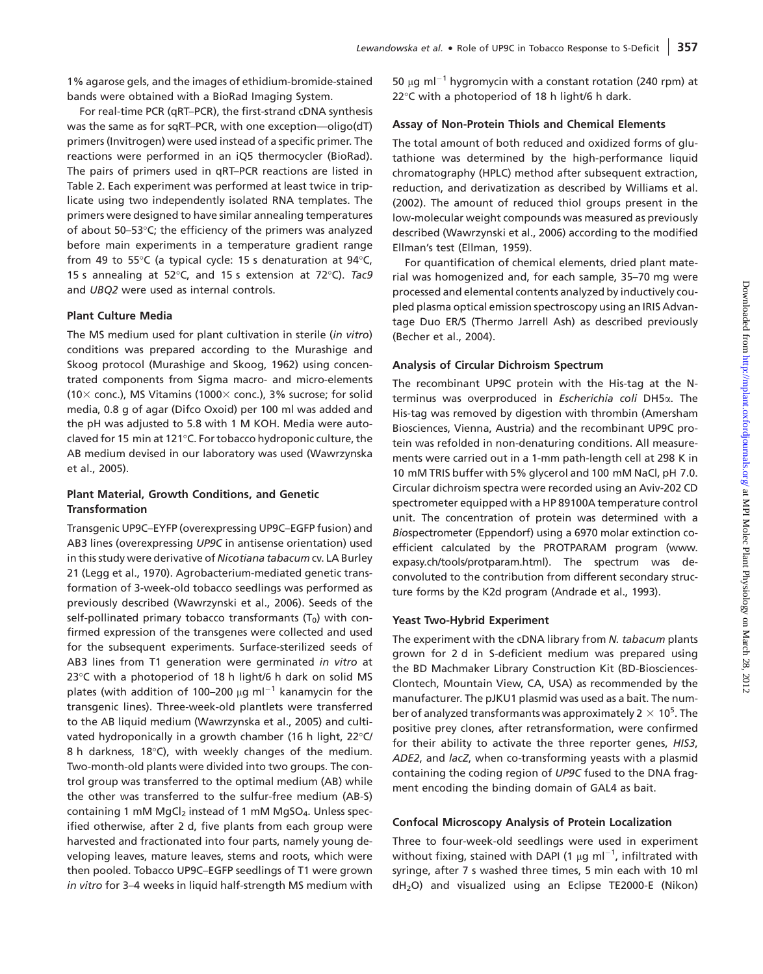1% agarose gels, and the images of ethidium-bromide-stained bands were obtained with a BioRad Imaging System.

For real-time PCR (qRT–PCR), the first-strand cDNA synthesis was the same as for sqRT–PCR, with one exception—oligo(dT) primers (Invitrogen) were used instead of a specific primer. The reactions were performed in an iQ5 thermocycler (BioRad). The pairs of primers used in qRT–PCR reactions are listed in Table 2. Each experiment was performed at least twice in triplicate using two independently isolated RNA templates. The primers were designed to have similar annealing temperatures of about 50–53 $^{\circ}$ C; the efficiency of the primers was analyzed before main experiments in a temperature gradient range from 49 to 55 $\degree$ C (a typical cycle: 15 s denaturation at 94 $\degree$ C, 15 s annealing at 52 $\degree$ C, and 15 s extension at 72 $\degree$ C). Tac9 and UBQ2 were used as internal controls.

## Plant Culture Media

The MS medium used for plant cultivation in sterile (in vitro) conditions was prepared according to the Murashige and Skoog protocol (Murashige and Skoog, 1962) using concentrated components from Sigma macro- and micro-elements (10 $\times$  conc.), MS Vitamins (1000 $\times$  conc.), 3% sucrose; for solid media, 0.8 g of agar (Difco Oxoid) per 100 ml was added and the pH was adjusted to 5.8 with 1 M KOH. Media were autoclaved for 15 min at 121°C. For tobacco hydroponic culture, the AB medium devised in our laboratory was used (Wawrzynska et al., 2005).

# Plant Material, Growth Conditions, and Genetic **Transformation**

Transgenic UP9C–EYFP (overexpressing UP9C–EGFP fusion) and AB3 lines (overexpressing UP9C in antisense orientation) used in this study were derivative of Nicotiana tabacum cv. LA Burley 21 (Legg et al., 1970). Agrobacterium-mediated genetic transformation of 3-week-old tobacco seedlings was performed as previously described (Wawrzynski et al., 2006). Seeds of the self-pollinated primary tobacco transformants  $(T_0)$  with confirmed expression of the transgenes were collected and used for the subsequent experiments. Surface-sterilized seeds of AB3 lines from T1 generation were germinated in vitro at 23 $\degree$ C with a photoperiod of 18 h light/6 h dark on solid MS plates (with addition of 100–200  $\mu$ g ml<sup>-1</sup> kanamycin for the transgenic lines). Three-week-old plantlets were transferred to the AB liquid medium (Wawrzynska et al., 2005) and cultivated hydroponically in a growth chamber (16 h light,  $22^{\circ}C$ 8 h darkness,  $18^{\circ}$ C), with weekly changes of the medium. Two-month-old plants were divided into two groups. The control group was transferred to the optimal medium (AB) while the other was transferred to the sulfur-free medium (AB-S) containing 1 mM MgCl<sub>2</sub> instead of 1 mM MgSO<sub>4</sub>. Unless specified otherwise, after 2 d, five plants from each group were harvested and fractionated into four parts, namely young developing leaves, mature leaves, stems and roots, which were then pooled. Tobacco UP9C–EGFP seedlings of T1 were grown in vitro for 3–4 weeks in liquid half-strength MS medium with 50  $\mu$ g ml<sup>-1</sup> hygromycin with a constant rotation (240 rpm) at 22 $\degree$ C with a photoperiod of 18 h light/6 h dark.

#### Assay of Non-Protein Thiols and Chemical Elements

The total amount of both reduced and oxidized forms of glutathione was determined by the high-performance liquid chromatography (HPLC) method after subsequent extraction, reduction, and derivatization as described by Williams et al. (2002). The amount of reduced thiol groups present in the low-molecular weight compounds was measured as previously described (Wawrzynski et al., 2006) according to the modified Ellman's test (Ellman, 1959).

For quantification of chemical elements, dried plant material was homogenized and, for each sample, 35–70 mg were processed and elemental contents analyzed by inductively coupled plasma optical emission spectroscopy using an IRIS Advantage Duo ER/S (Thermo Jarrell Ash) as described previously (Becher et al., 2004).

## Analysis of Circular Dichroism Spectrum

The recombinant UP9C protein with the His-tag at the Nterminus was overproduced in Escherichia coli DH5a. The His-tag was removed by digestion with thrombin (Amersham Biosciences, Vienna, Austria) and the recombinant UP9C protein was refolded in non-denaturing conditions. All measurements were carried out in a 1-mm path-length cell at 298 K in 10 mM TRIS buffer with 5% glycerol and 100 mM NaCl, pH 7.0. Circular dichroism spectra were recorded using an Aviv-202 CD spectrometer equipped with a HP 89100A temperature control unit. The concentration of protein was determined with a Biospectrometer (Eppendorf) using a 6970 molar extinction coefficient calculated by the PROTPARAM program ([www.](www.expasy.ch/tools/protparam.html) [expasy.ch/tools/protparam.html](www.expasy.ch/tools/protparam.html)). The spectrum was deconvoluted to the contribution from different secondary structure forms by the K2d program (Andrade et al., 1993).

## Yeast Two-Hybrid Experiment

The experiment with the cDNA library from N. tabacum plants grown for 2 d in S-deficient medium was prepared using the BD Machmaker Library Construction Kit (BD-Biosciences-Clontech, Mountain View, CA, USA) as recommended by the manufacturer. The pJKU1 plasmid was used as a bait. The number of analyzed transformants was approximately 2  $\times$  10<sup>5</sup>. The positive prey clones, after retransformation, were confirmed for their ability to activate the three reporter genes, HIS3, ADE2, and lacZ, when co-transforming yeasts with a plasmid containing the coding region of UP9C fused to the DNA fragment encoding the binding domain of GAL4 as bait.

#### Confocal Microscopy Analysis of Protein Localization

Three to four-week-old seedlings were used in experiment without fixing, stained with DAPI (1  $\mu$ g ml<sup>-1</sup>, infiltrated with syringe, after 7 s washed three times, 5 min each with 10 ml  $dH<sub>2</sub>O$ ) and visualized using an Eclipse TE2000-E (Nikon)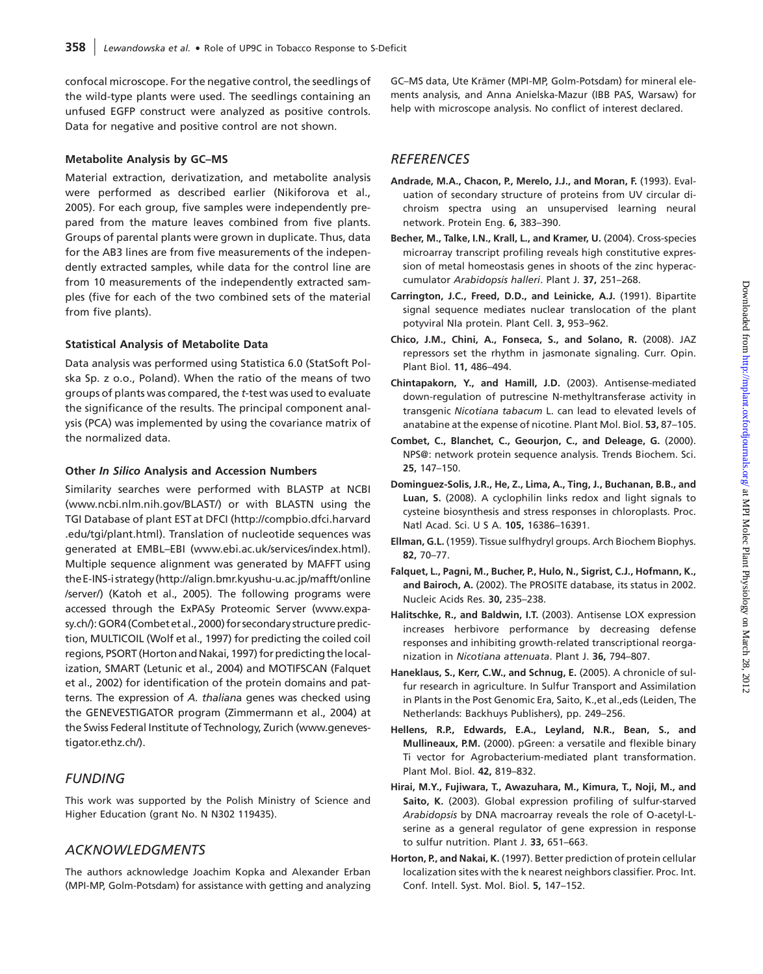confocal microscope. For the negative control, the seedlings of the wild-type plants were used. The seedlings containing an unfused EGFP construct were analyzed as positive controls. Data for negative and positive control are not shown.

## Metabolite Analysis by GC–MS

Material extraction, derivatization, and metabolite analysis were performed as described earlier (Nikiforova et al., 2005). For each group, five samples were independently prepared from the mature leaves combined from five plants. Groups of parental plants were grown in duplicate. Thus, data for the AB3 lines are from five measurements of the independently extracted samples, while data for the control line are from 10 measurements of the independently extracted samples (five for each of the two combined sets of the material from five plants).

## Statistical Analysis of Metabolite Data

Data analysis was performed using Statistica 6.0 (StatSoft Polska Sp. z o.o., Poland). When the ratio of the means of two groups of plants was compared, the t-test was used to evaluate the significance of the results. The principal component analysis (PCA) was implemented by using the covariance matrix of the normalized data.

## Other In Silico Analysis and Accession Numbers

Similarity searches were performed with BLASTP at NCBI [\(www.ncbi.nlm.nih.gov/BLAST/\)](www.ncbi.nlm.nih.gov/BLAST/) or with BLASTN using the TGI Database of plant EST at DFCI ([http://compbio.dfci.harvard](http://compbio.dfci.harvard.edu/) [.edu/](http://compbio.dfci.harvard.edu/)tgi/plant.html). Translation of nucleotide sequences was generated at EMBL–EBI (www.ebi.ac.uk/services/index.html). Multiple sequence alignment was generated by MAFFT using theE-INS-istrategy[\(http://align.bmr.kyushu-u.ac.jp/mafft/online](http://align.bmr.kyushu-u.ac.jp/mafft/online/server/) [/server/](http://align.bmr.kyushu-u.ac.jp/mafft/online/server/)) (Katoh et al., 2005). The following programs were accessed through the ExPASy Proteomic Server (www.expasy.ch/): GOR4 (Combet et al., 2000) for secondary structure prediction, MULTICOIL (Wolf et al., 1997) for predicting the coiled coil regions, PSORT (Horton and Nakai, 1997) for predicting the localization, SMART (Letunic et al., 2004) and MOTIFSCAN (Falquet et al., 2002) for identification of the protein domains and patterns. The expression of A. thaliana genes was checked using the GENEVESTIGATOR program (Zimmermann et al., 2004) at the Swiss Federal Institute of Technology, Zurich [\(www.geneves](www.genevestigator.ethz.ch/)[tigator.ethz.ch/](www.genevestigator.ethz.ch/)).

# FUNDING

This work was supported by the Polish Ministry of Science and Higher Education (grant No. N N302 119435).

# ACKNOWLEDGMENTS

The authors acknowledge Joachim Kopka and Alexander Erban (MPI-MP, Golm-Potsdam) for assistance with getting and analyzing GC–MS data, Ute Krämer (MPI-MP, Golm-Potsdam) for mineral elements analysis, and Anna Anielska-Mazur (IBB PAS, Warsaw) for help with microscope analysis. No conflict of interest declared.

# **REFERENCES**

- Andrade, M.A., Chacon, P., Merelo, J.J., and Moran, F. (1993). Evaluation of secondary structure of proteins from UV circular dichroism spectra using an unsupervised learning neural network. Protein Eng. 6, 383–390.
- Becher, M., Talke, I.N., Krall, L., and Kramer, U. (2004). Cross-species microarray transcript profiling reveals high constitutive expression of metal homeostasis genes in shoots of the zinc hyperaccumulator Arabidopsis halleri. Plant J. 37, 251–268.
- Carrington, J.C., Freed, D.D., and Leinicke, A.J. (1991). Bipartite signal sequence mediates nuclear translocation of the plant potyviral NIa protein. Plant Cell. 3, 953–962.
- Chico, J.M., Chini, A., Fonseca, S., and Solano, R. (2008). JAZ repressors set the rhythm in jasmonate signaling. Curr. Opin. Plant Biol. 11, 486–494.
- Chintapakorn, Y., and Hamill, J.D. (2003). Antisense-mediated down-regulation of putrescine N-methyltransferase activity in transgenic Nicotiana tabacum L. can lead to elevated levels of anatabine at the expense of nicotine. Plant Mol. Biol. 53, 87–105.
- Combet, C., Blanchet, C., Geourjon, C., and Deleage, G. (2000). NPS@: network protein sequence analysis. Trends Biochem. Sci. 25, 147–150.
- Dominguez-Solis, J.R., He, Z., Lima, A., Ting, J., Buchanan, B.B., and Luan, S. (2008). A cyclophilin links redox and light signals to cysteine biosynthesis and stress responses in chloroplasts. Proc. Natl Acad. Sci. U S A. 105, 16386–16391.
- Ellman, G.L. (1959). Tissue sulfhydryl groups. Arch Biochem Biophys. 82, 70–77.
- Falquet, L., Pagni, M., Bucher, P., Hulo, N., Sigrist, C.J., Hofmann, K., and Bairoch, A. (2002). The PROSITE database, its status in 2002. Nucleic Acids Res. 30, 235–238.
- Halitschke, R., and Baldwin, I.T. (2003). Antisense LOX expression increases herbivore performance by decreasing defense responses and inhibiting growth-related transcriptional reorganization in Nicotiana attenuata. Plant J. 36, 794–807.
- Haneklaus, S., Kerr, C.W., and Schnug, E. (2005). A chronicle of sulfur research in agriculture. In Sulfur Transport and Assimilation in Plants in the Post Genomic Era, Saito, K.,et al.,eds (Leiden, The Netherlands: Backhuys Publishers), pp. 249–256.
- Hellens, R.P., Edwards, E.A., Leyland, N.R., Bean, S., and Mullineaux, P.M. (2000). pGreen: a versatile and flexible binary Ti vector for Agrobacterium-mediated plant transformation. Plant Mol. Biol. 42, 819–832.
- Hirai, M.Y., Fujiwara, T., Awazuhara, M., Kimura, T., Noji, M., and Saito, K. (2003). Global expression profiling of sulfur-starved Arabidopsis by DNA macroarray reveals the role of O-acetyl-Lserine as a general regulator of gene expression in response to sulfur nutrition. Plant J. 33, 651–663.
- Horton, P., and Nakai, K. (1997). Better prediction of protein cellular localization sites with the k nearest neighbors classifier. Proc. Int. Conf. Intell. Syst. Mol. Biol. 5, 147–152.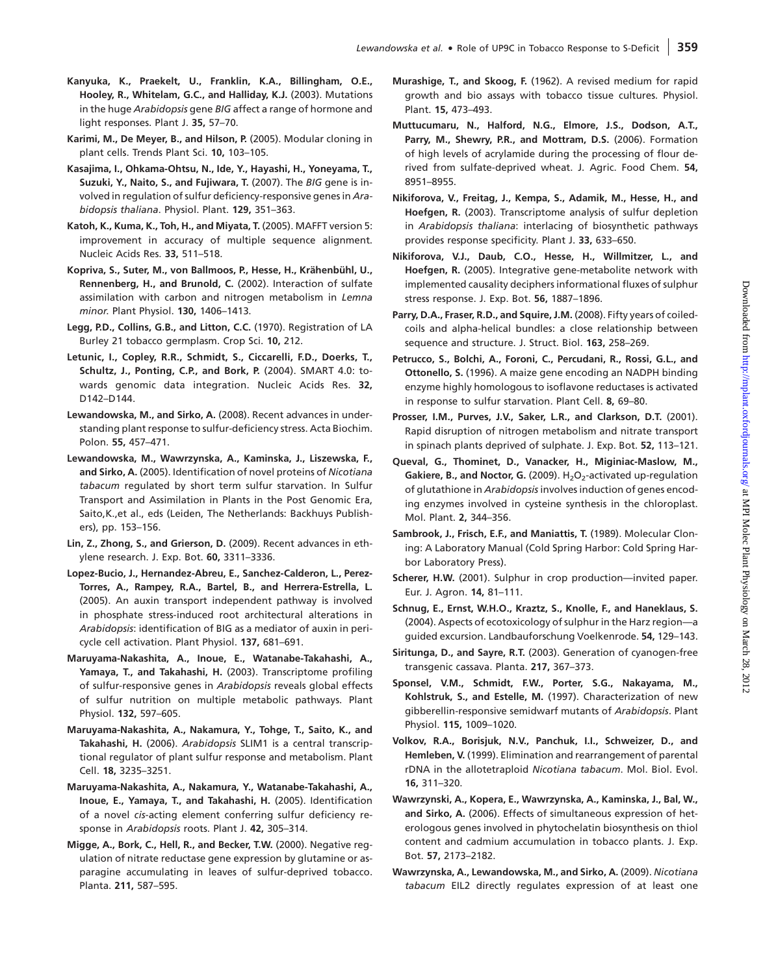- Kanyuka, K., Praekelt, U., Franklin, K.A., Billingham, O.E., Hooley, R., Whitelam, G.C., and Halliday, K.J. (2003). Mutations in the huge Arabidopsis gene BIG affect a range of hormone and light responses. Plant J. 35, 57–70.
- Karimi, M., De Meyer, B., and Hilson, P. (2005). Modular cloning in plant cells. Trends Plant Sci. 10, 103–105.
- Kasajima, I., Ohkama-Ohtsu, N., Ide, Y., Hayashi, H., Yoneyama, T., Suzuki, Y., Naito, S., and Fujiwara, T. (2007). The BIG gene is involved in regulation of sulfur deficiency-responsive genes in Arabidopsis thaliana. Physiol. Plant. 129, 351–363.
- Katoh, K., Kuma, K., Toh, H., and Miyata, T. (2005). MAFFT version 5: improvement in accuracy of multiple sequence alignment. Nucleic Acids Res. 33, 511–518.
- Kopriva, S., Suter, M., von Ballmoos, P., Hesse, H., Krähenbühl, U., Rennenberg, H., and Brunold, C. (2002). Interaction of sulfate assimilation with carbon and nitrogen metabolism in Lemna minor. Plant Physiol. 130, 1406–1413.
- Legg, P.D., Collins, G.B., and Litton, C.C. (1970). Registration of LA Burley 21 tobacco germplasm. Crop Sci. 10, 212.
- Letunic, I., Copley, R.R., Schmidt, S., Ciccarelli, F.D., Doerks, T., Schultz, J., Ponting, C.P., and Bork, P. (2004). SMART 4.0: towards genomic data integration. Nucleic Acids Res. 32, D142–D144.
- Lewandowska, M., and Sirko, A. (2008). Recent advances in understanding plant response to sulfur-deficiency stress. Acta Biochim. Polon. 55, 457–471.
- Lewandowska, M., Wawrzynska, A., Kaminska, J., Liszewska, F., and Sirko, A. (2005). Identification of novel proteins of Nicotiana tabacum regulated by short term sulfur starvation. In Sulfur Transport and Assimilation in Plants in the Post Genomic Era, Saito,K.,et al., eds (Leiden, The Netherlands: Backhuys Publishers), pp. 153–156.
- Lin, Z., Zhong, S., and Grierson, D. (2009). Recent advances in ethylene research. J. Exp. Bot. 60, 3311–3336.
- Lopez-Bucio, J., Hernandez-Abreu, E., Sanchez-Calderon, L., Perez-Torres, A., Rampey, R.A., Bartel, B., and Herrera-Estrella, L. (2005). An auxin transport independent pathway is involved in phosphate stress-induced root architectural alterations in Arabidopsis: identification of BIG as a mediator of auxin in pericycle cell activation. Plant Physiol. 137, 681–691.
- Maruyama-Nakashita, A., Inoue, E., Watanabe-Takahashi, A., Yamaya, T., and Takahashi, H. (2003). Transcriptome profiling of sulfur-responsive genes in Arabidopsis reveals global effects of sulfur nutrition on multiple metabolic pathways. Plant Physiol. 132, 597–605.
- Maruyama-Nakashita, A., Nakamura, Y., Tohge, T., Saito, K., and Takahashi, H. (2006). Arabidopsis SLIM1 is a central transcriptional regulator of plant sulfur response and metabolism. Plant Cell. 18, 3235–3251.
- Maruyama-Nakashita, A., Nakamura, Y., Watanabe-Takahashi, A., Inoue, E., Yamaya, T., and Takahashi, H. (2005). Identification of a novel cis-acting element conferring sulfur deficiency response in Arabidopsis roots. Plant J. 42, 305–314.
- Migge, A., Bork, C., Hell, R., and Becker, T.W. (2000). Negative regulation of nitrate reductase gene expression by glutamine or asparagine accumulating in leaves of sulfur-deprived tobacco. Planta. 211, 587–595.
- Murashige, T., and Skoog, F. (1962). A revised medium for rapid growth and bio assays with tobacco tissue cultures. Physiol. Plant. 15, 473–493.
- Muttucumaru, N., Halford, N.G., Elmore, J.S., Dodson, A.T., Parry, M., Shewry, P.R., and Mottram, D.S. (2006). Formation of high levels of acrylamide during the processing of flour derived from sulfate-deprived wheat. J. Agric. Food Chem. 54, 8951–8955.
- Nikiforova, V., Freitag, J., Kempa, S., Adamik, M., Hesse, H., and Hoefgen, R. (2003). Transcriptome analysis of sulfur depletion in Arabidopsis thaliana: interlacing of biosynthetic pathways provides response specificity. Plant J. 33, 633–650.
- Nikiforova, V.J., Daub, C.O., Hesse, H., Willmitzer, L., and Hoefgen, R. (2005). Integrative gene-metabolite network with implemented causality deciphers informational fluxes of sulphur stress response. J. Exp. Bot. 56, 1887–1896.
- Parry, D.A., Fraser, R.D., and Squire, J.M. (2008). Fifty years of coiledcoils and alpha-helical bundles: a close relationship between sequence and structure. J. Struct. Biol. 163, 258–269.
- Petrucco, S., Bolchi, A., Foroni, C., Percudani, R., Rossi, G.L., and Ottonello, S. (1996). A maize gene encoding an NADPH binding enzyme highly homologous to isoflavone reductases is activated in response to sulfur starvation. Plant Cell. 8, 69–80.
- Prosser, I.M., Purves, J.V., Saker, L.R., and Clarkson, D.T. (2001). Rapid disruption of nitrogen metabolism and nitrate transport in spinach plants deprived of sulphate. J. Exp. Bot. 52, 113–121.
- Queval, G., Thominet, D., Vanacker, H., Miginiac-Maslow, M., Gakiere, B., and Noctor, G. (2009).  $H_2O_2$ -activated up-regulation of glutathione in Arabidopsis involves induction of genes encoding enzymes involved in cysteine synthesis in the chloroplast. Mol. Plant. 2, 344–356.
- Sambrook, J., Frisch, E.F., and Maniattis, T. (1989). Molecular Cloning: A Laboratory Manual (Cold Spring Harbor: Cold Spring Harbor Laboratory Press).
- Scherer, H.W. (2001). Sulphur in crop production—invited paper. Eur. J. Agron. 14, 81–111.
- Schnug, E., Ernst, W.H.O., Kraztz, S., Knolle, F., and Haneklaus, S. (2004). Aspects of ecotoxicology of sulphur in the Harz region—a guided excursion. Landbauforschung Voelkenrode. 54, 129–143.
- Siritunga, D., and Sayre, R.T. (2003). Generation of cyanogen-free transgenic cassava. Planta. 217, 367–373.
- Sponsel, V.M., Schmidt, F.W., Porter, S.G., Nakayama, M., Kohlstruk, S., and Estelle, M. (1997). Characterization of new gibberellin-responsive semidwarf mutants of Arabidopsis. Plant Physiol. 115, 1009–1020.
- Volkov, R.A., Borisjuk, N.V., Panchuk, I.I., Schweizer, D., and Hemleben, V. (1999). Elimination and rearrangement of parental rDNA in the allotetraploid Nicotiana tabacum. Mol. Biol. Evol. 16, 311–320.
- Wawrzynski, A., Kopera, E., Wawrzynska, A., Kaminska, J., Bal, W., and Sirko, A. (2006). Effects of simultaneous expression of heterologous genes involved in phytochelatin biosynthesis on thiol content and cadmium accumulation in tobacco plants. J. Exp. Bot. 57, 2173–2182.
- Wawrzynska, A., Lewandowska, M., and Sirko, A. (2009). Nicotiana tabacum EIL2 directly regulates expression of at least one